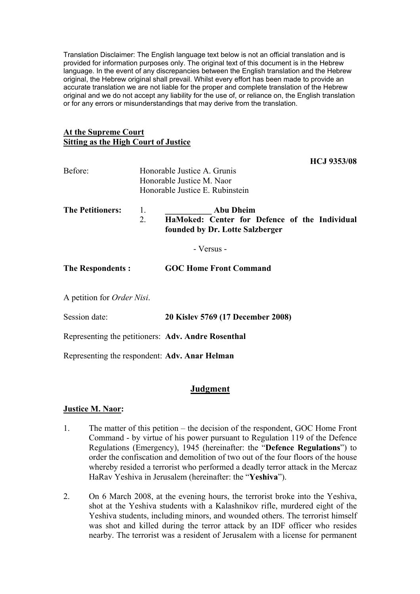Translation Disclaimer: The English language text below is not an official translation and is provided for information purposes only. The original text of this document is in the Hebrew language. In the event of any discrepancies between the English translation and the Hebrew original, the Hebrew original shall prevail. Whilst every effort has been made to provide an accurate translation we are not liable for the proper and complete translation of the Hebrew original and we do not accept any liability for the use of, or reliance on, the English translation or for any errors or misunderstandings that may derive from the translation.

## **At the Supreme Court Sitting as the High Court of Justice**

**HCJ 9353/08**

| Before:                                       |          | Honorable Justice A. Grunis<br>Honorable Justice M. Naor<br>Honorable Justice E. Rubinstein          |
|-----------------------------------------------|----------|------------------------------------------------------------------------------------------------------|
| <b>The Petitioners:</b>                       | 1.<br>2. | <b>Abu Dheim</b><br>HaMoked: Center for Defence of the Individual<br>founded by Dr. Lotte Salzberger |
|                                               |          | - Versus -                                                                                           |
| <b>The Respondents:</b>                       |          | <b>GOC Home Front Command</b>                                                                        |
| A petition for <i>Order Nisi</i> .            |          |                                                                                                      |
| Session date:                                 |          | 20 Kislev 5769 (17 December 2008)                                                                    |
|                                               |          | Representing the petitioners: Adv. Andre Rosenthal                                                   |
| Representing the respondent: Adv. Anar Helman |          |                                                                                                      |

# **Judgment**

## **Justice M. Naor:**

- 1. The matter of this petition the decision of the respondent, GOC Home Front Command - by virtue of his power pursuant to Regulation 119 of the Defence Regulations (Emergency), 1945 (hereinafter: the "**Defence Regulations**") to order the confiscation and demolition of two out of the four floors of the house whereby resided a terrorist who performed a deadly terror attack in the Mercaz HaRav Yeshiva in Jerusalem (hereinafter: the "**Yeshiva**").
- 2. On 6 March 2008, at the evening hours, the terrorist broke into the Yeshiva, shot at the Yeshiva students with a Kalashnikov rifle, murdered eight of the Yeshiva students, including minors, and wounded others. The terrorist himself was shot and killed during the terror attack by an IDF officer who resides nearby. The terrorist was a resident of Jerusalem with a license for permanent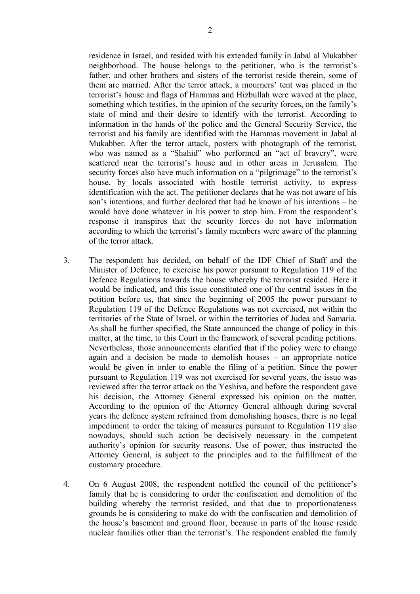residence in Israel, and resided with his extended family in Jabal al Mukabber neighborhood. The house belongs to the petitioner, who is the terrorist's father, and other brothers and sisters of the terrorist reside therein, some of them are married. After the terror attack, a mourners' tent was placed in the terrorist's house and flags of Hammas and Hizbullah were waved at the place, something which testifies, in the opinion of the security forces, on the family's state of mind and their desire to identify with the terrorist. According to information in the hands of the police and the General Security Service, the terrorist and his family are identified with the Hammas movement in Jabal al Mukabber. After the terror attack, posters with photograph of the terrorist, who was named as a "Shahid" who performed an "act of bravery", were scattered near the terrorist's house and in other areas in Jerusalem. The security forces also have much information on a "pilgrimage" to the terrorist's house, by locals associated with hostile terrorist activity, to express identification with the act. The petitioner declares that he was not aware of his son's intentions, and further declared that had he known of his intentions – he

- would have done whatever in his power to stop him. From the respondent's response it transpires that the security forces do not have information according to which the terrorist's family members were aware of the planning of the terror attack.
- 3. The respondent has decided, on behalf of the IDF Chief of Staff and the Minister of Defence, to exercise his power pursuant to Regulation 119 of the Defence Regulations towards the house whereby the terrorist resided. Here it would be indicated, and this issue constituted one of the central issues in the petition before us, that since the beginning of 2005 the power pursuant to Regulation 119 of the Defence Regulations was not exercised, not within the territories of the State of Israel, or within the territories of Judea and Samaria. As shall be further specified, the State announced the change of policy in this matter, at the time, to this Court in the framework of several pending petitions. Nevertheless, those announcements clarified that if the policy were to change again and a decision be made to demolish houses – an appropriate notice would be given in order to enable the filing of a petition. Since the power pursuant to Regulation 119 was not exercised for several years, the issue was reviewed after the terror attack on the Yeshiva, and before the respondent gave his decision, the Attorney General expressed his opinion on the matter. According to the opinion of the Attorney General although during several years the defence system refrained from demolishing houses, there is no legal impediment to order the taking of measures pursuant to Regulation 119 also nowadays, should such action be decisively necessary in the competent authority's opinion for security reasons. Use of power, thus instructed the Attorney General, is subject to the principles and to the fulfillment of the customary procedure.
- 4. On 6 August 2008, the respondent notified the council of the petitioner's family that he is considering to order the confiscation and demolition of the building whereby the terrorist resided, and that due to proportionateness grounds he is considering to make do with the confiscation and demolition of the house's basement and ground floor, because in parts of the house reside nuclear families other than the terrorist's. The respondent enabled the family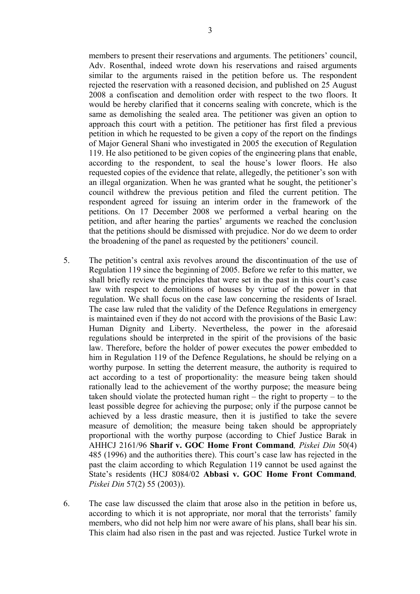members to present their reservations and arguments. The petitioners' council, Adv. Rosenthal, indeed wrote down his reservations and raised arguments similar to the arguments raised in the petition before us. The respondent rejected the reservation with a reasoned decision, and published on 25 August 2008 a confiscation and demolition order with respect to the two floors. It would be hereby clarified that it concerns sealing with concrete, which is the same as demolishing the sealed area. The petitioner was given an option to approach this court with a petition. The petitioner has first filed a previous petition in which he requested to be given a copy of the report on the findings of Major General Shani who investigated in 2005 the execution of Regulation 119. He also petitioned to be given copies of the engineering plans that enable, according to the respondent, to seal the house's lower floors. He also requested copies of the evidence that relate, allegedly, the petitioner's son with an illegal organization. When he was granted what he sought, the petitioner's council withdrew the previous petition and filed the current petition. The respondent agreed for issuing an interim order in the framework of the petitions. On 17 December 2008 we performed a verbal hearing on the petition, and after hearing the parties' arguments we reached the conclusion that the petitions should be dismissed with prejudice. Nor do we deem to order the broadening of the panel as requested by the petitioners' council.

- 5. The petition's central axis revolves around the discontinuation of the use of Regulation 119 since the beginning of 2005. Before we refer to this matter, we shall briefly review the principles that were set in the past in this court's case law with respect to demolitions of houses by virtue of the power in that regulation. We shall focus on the case law concerning the residents of Israel. The case law ruled that the validity of the Defence Regulations in emergency is maintained even if they do not accord with the provisions of the Basic Law: Human Dignity and Liberty. Nevertheless, the power in the aforesaid regulations should be interpreted in the spirit of the provisions of the basic law. Therefore, before the holder of power executes the power embedded to him in Regulation 119 of the Defence Regulations, he should be relying on a worthy purpose. In setting the deterrent measure, the authority is required to act according to a test of proportionality: the measure being taken should rationally lead to the achievement of the worthy purpose; the measure being taken should violate the protected human right – the right to property – to the least possible degree for achieving the purpose; only if the purpose cannot be achieved by a less drastic measure, then it is justified to take the severe measure of demolition; the measure being taken should be appropriately proportional with the worthy purpose (according to Chief Justice Barak in AHHCJ 2161/96 **Sharif v. GOC Home Front Command***, Piskei Din* 50(4) 485 (1996) and the authorities there). This court's case law has rejected in the past the claim according to which Regulation 119 cannot be used against the State's residents (HCJ 8084/02 **Abbasi v. GOC Home Front Command***, Piskei Din* 57(2) 55 (2003)).
- 6. The case law discussed the claim that arose also in the petition in before us, according to which it is not appropriate, nor moral that the terrorists' family members, who did not help him nor were aware of his plans, shall bear his sin. This claim had also risen in the past and was rejected. Justice Turkel wrote in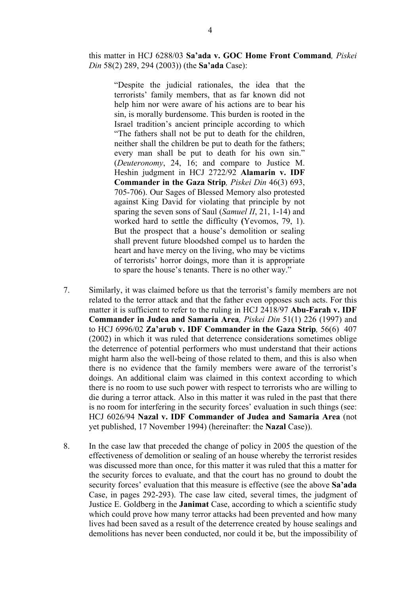this matter in HCJ 6288/03 **Sa'ada v. GOC Home Front Command***, Piskei Din* 58(2) 289, 294 (2003)) (the **Sa'ada** Case):

"Despite the judicial rationales, the idea that the terrorists' family members, that as far known did not help him nor were aware of his actions are to bear his sin, is morally burdensome. This burden is rooted in the Israel tradition's ancient principle according to which "The fathers shall not be put to death for the children, neither shall the children be put to death for the fathers; every man shall be put to death for his own sin." (*Deuteronomy*, 24, 16; and compare to Justice M. Heshin judgment in HCJ 2722/92 **Alamarin v. IDF Commander in the Gaza Strip***, Piskei Din* 46(3) 693, 705-706). Our Sages of Blessed Memory also protested against King David for violating that principle by not sparing the seven sons of Saul (*Samuel II*, 21, 1-14) and worked hard to settle the difficulty **(**Yevomos, 79, 1). But the prospect that a house's demolition or sealing shall prevent future bloodshed compel us to harden the heart and have mercy on the living, who may be victims of terrorists' horror doings, more than it is appropriate to spare the house's tenants. There is no other way."

- 7. Similarly, it was claimed before us that the terrorist's family members are not related to the terror attack and that the father even opposes such acts. For this matter it is sufficient to refer to the ruling in HCJ 2418/97 **Abu-Farah v. IDF Commander in Judea and Samaria Area***, Piskei Din* 51(1) 226 (1997) and to HCJ 6996/02 **Za'arub v. IDF Commander in the Gaza Strip***,* 56(6) 407 (2002) in which it was ruled that deterrence considerations sometimes oblige the deterrence of potential performers who must understand that their actions might harm also the well-being of those related to them, and this is also when there is no evidence that the family members were aware of the terrorist's doings. An additional claim was claimed in this context according to which there is no room to use such power with respect to terrorists who are willing to die during a terror attack. Also in this matter it was ruled in the past that there is no room for interfering in the security forces' evaluation in such things (see: HCJ 6026/94 **Nazal v. IDF Commander of Judea and Samaria Area** (not yet published, 17 November 1994) (hereinafter: the **Nazal** Case)).
- 8. In the case law that preceded the change of policy in 2005 the question of the effectiveness of demolition or sealing of an house whereby the terrorist resides was discussed more than once, for this matter it was ruled that this a matter for the security forces to evaluate, and that the court has no ground to doubt the security forces' evaluation that this measure is effective (see the above **Sa'ada**  Case, in pages 292-293). The case law cited, several times, the judgment of Justice E. Goldberg in the **Janimat** Case, according to which a scientific study which could prove how many terror attacks had been prevented and how many lives had been saved as a result of the deterrence created by house sealings and demolitions has never been conducted, nor could it be, but the impossibility of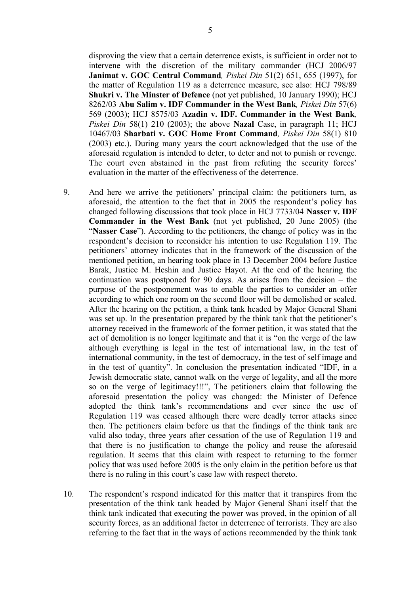disproving the view that a certain deterrence exists, is sufficient in order not to intervene with the discretion of the military commander (HCJ 2006/97 **Janimat v. GOC Central Command***, Piskei Din* 51(2) 651, 655 (1997), for the matter of Regulation 119 as a deterrence measure, see also: HCJ 798/89 **Shukri v. The Minster of Defence** (not yet published, 10 January 1990); HCJ 8262/03 **Abu Salim v. IDF Commander in the West Bank***, Piskei Din* 57(6) 569 (2003); HCJ 8575/03 **Azadin v. IDF. Commander in the West Bank***, Piskei Din* 58(1) 210 (2003); the above **Nazal** Case, in paragraph 11; HCJ 10467/03 **Sharbati v. GOC Home Front Command***, Piskei Din* 58(1) 810 (2003) etc.). During many years the court acknowledged that the use of the aforesaid regulation is intended to deter, to deter and not to punish or revenge. The court even abstained in the past from refuting the security forces' evaluation in the matter of the effectiveness of the deterrence.

- 9. And here we arrive the petitioners' principal claim: the petitioners turn, as aforesaid, the attention to the fact that in 2005 the respondent's policy has changed following discussions that took place in HCJ 7733/04 **Nasser v. IDF Commander in the West Bank** (not yet published, 20 June 2005) (the "**Nasser Case**"). According to the petitioners, the change of policy was in the respondent's decision to reconsider his intention to use Regulation 119. The petitioners' attorney indicates that in the framework of the discussion of the mentioned petition, an hearing took place in 13 December 2004 before Justice Barak, Justice M. Heshin and Justice Hayot. At the end of the hearing the continuation was postponed for 90 days. As arises from the decision – the purpose of the postponement was to enable the parties to consider an offer according to which one room on the second floor will be demolished or sealed. After the hearing on the petition, a think tank headed by Major General Shani was set up. In the presentation prepared by the think tank that the petitioner's attorney received in the framework of the former petition, it was stated that the act of demolition is no longer legitimate and that it is "on the verge of the law although everything is legal in the test of international law, in the test of international community, in the test of democracy, in the test of self image and in the test of quantity". In conclusion the presentation indicated "IDF, in a Jewish democratic state, cannot walk on the verge of legality, and all the more so on the verge of legitimacy!!!", The petitioners claim that following the aforesaid presentation the policy was changed: the Minister of Defence adopted the think tank's recommendations and ever since the use of Regulation 119 was ceased although there were deadly terror attacks since then. The petitioners claim before us that the findings of the think tank are valid also today, three years after cessation of the use of Regulation 119 and that there is no justification to change the policy and reuse the aforesaid regulation. It seems that this claim with respect to returning to the former policy that was used before 2005 is the only claim in the petition before us that there is no ruling in this court's case law with respect thereto.
- 10. The respondent's respond indicated for this matter that it transpires from the presentation of the think tank headed by Major General Shani itself that the think tank indicated that executing the power was proved, in the opinion of all security forces, as an additional factor in deterrence of terrorists. They are also referring to the fact that in the ways of actions recommended by the think tank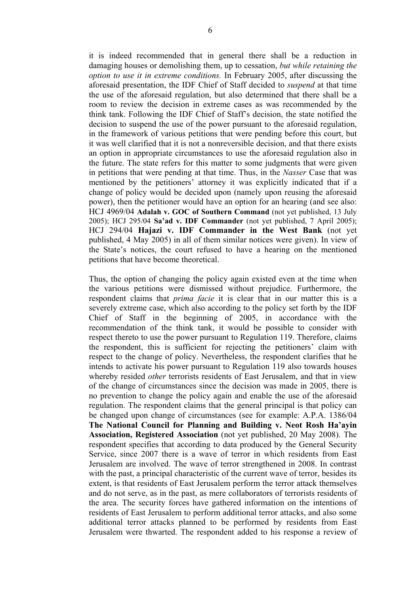it is indeed recommended that in general there shall be a reduction in damaging houses or demolishing them, up to cessation, *but while retaining the option to use it in extreme conditions.* In February 2005, after discussing the aforesaid presentation, the IDF Chief of Staff decided to *suspend* at that time the use of the aforesaid regulation, but also determined that there shall be a room to review the decision in extreme cases as was recommended by the think tank. Following the IDF Chief of Staff's decision, the state notified the decision to suspend the use of the power pursuant to the aforesaid regulation, in the framework of various petitions that were pending before this court, but it was well clarified that it is not a nonreversible decision, and that there exists an option in appropriate circumstances to use the aforesaid regulation also in the future. The state refers for this matter to some judgments that were given in petitions that were pending at that time. Thus, in the *Nasser* Case that was mentioned by the petitioners' attorney it was explicitly indicated that if a change of policy would be decided upon (namely upon reusing the aforesaid power), then the petitioner would have an option for an hearing (and see also: HCJ 4969/04 **Adalah v. GOC of Southern Command** (not yet published, 13 July 2005); HCJ 295/04 **Sa'ad v. IDF Commander** (not yet published, 7 April 2005); HCJ 294/04 **Hajazi v. IDF Commander in the West Bank** (not yet published, 4 May 2005) in all of them similar notices were given). In view of the State's notices, the court refused to have a hearing on the mentioned petitions that have become theoretical.

Thus, the option of changing the policy again existed even at the time when the various petitions were dismissed without prejudice. Furthermore, the respondent claims that *prima facie* it is clear that in our matter this is a severely extreme case, which also according to the policy set forth by the IDF Chief of Staff in the beginning of 2005, in accordance with the recommendation of the think tank, it would be possible to consider with respect thereto to use the power pursuant to Regulation 119. Therefore, claims the respondent, this is sufficient for rejecting the petitioners' claim with respect to the change of policy. Nevertheless, the respondent clarifies that he intends to activate his power pursuant to Regulation 119 also towards houses whereby resided *other* terrorists residents of East Jerusalem, and that in view of the change of circumstances since the decision was made in 2005, there is no prevention to change the policy again and enable the use of the aforesaid regulation. The respondent claims that the general principal is that policy can be changed upon change of circumstances (see for example: A.P.A. 1386/04 **The National Council for Planning and Building v. Neot Rosh Ha'ayin Association, Registered Association** (not yet published, 20 May 2008). The respondent specifies that according to data produced by the General Security Service, since 2007 there is a wave of terror in which residents from East Jerusalem are involved. The wave of terror strengthened in 2008. In contrast with the past, a principal characteristic of the current wave of terror, besides its extent, is that residents of East Jerusalem perform the terror attack themselves and do not serve, as in the past, as mere collaborators of terrorists residents of the area. The security forces have gathered information on the intentions of residents of East Jerusalem to perform additional terror attacks, and also some additional terror attacks planned to be performed by residents from East Jerusalem were thwarted. The respondent added to his response a review of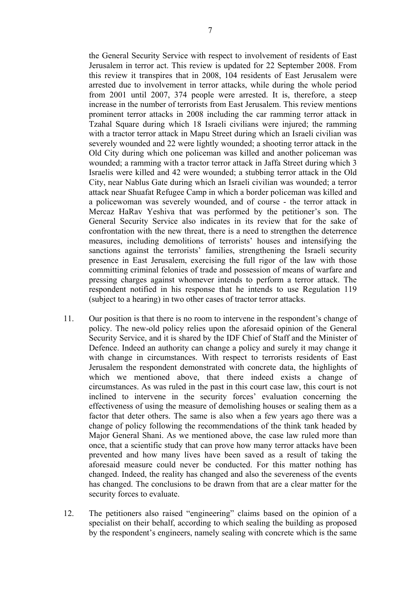the General Security Service with respect to involvement of residents of East Jerusalem in terror act. This review is updated for 22 September 2008. From this review it transpires that in 2008, 104 residents of East Jerusalem were arrested due to involvement in terror attacks, while during the whole period from 2001 until 2007, 374 people were arrested. It is, therefore, a steep increase in the number of terrorists from East Jerusalem. This review mentions prominent terror attacks in 2008 including the car ramming terror attack in Tzahal Square during which 18 Israeli civilians were injured; the ramming with a tractor terror attack in Mapu Street during which an Israeli civilian was severely wounded and 22 were lightly wounded; a shooting terror attack in the Old City during which one policeman was killed and another policeman was wounded; a ramming with a tractor terror attack in Jaffa Street during which 3 Israelis were killed and 42 were wounded; a stubbing terror attack in the Old City, near Nablus Gate during which an Israeli civilian was wounded; a terror attack near Shuafat Refugee Camp in which a border policeman was killed and a policewoman was severely wounded, and of course - the terror attack in Mercaz HaRav Yeshiva that was performed by the petitioner's son. The General Security Service also indicates in its review that for the sake of confrontation with the new threat, there is a need to strengthen the deterrence measures, including demolitions of terrorists' houses and intensifying the sanctions against the terrorists' families, strengthening the Israeli security presence in East Jerusalem, exercising the full rigor of the law with those committing criminal felonies of trade and possession of means of warfare and pressing charges against whomever intends to perform a terror attack. The respondent notified in his response that he intends to use Regulation 119 (subject to a hearing) in two other cases of tractor terror attacks.

- 11. Our position is that there is no room to intervene in the respondent's change of policy. The new-old policy relies upon the aforesaid opinion of the General Security Service, and it is shared by the IDF Chief of Staff and the Minister of Defence. Indeed an authority can change a policy and surely it may change it with change in circumstances. With respect to terrorists residents of East Jerusalem the respondent demonstrated with concrete data, the highlights of which we mentioned above, that there indeed exists a change of circumstances. As was ruled in the past in this court case law, this court is not inclined to intervene in the security forces' evaluation concerning the effectiveness of using the measure of demolishing houses or sealing them as a factor that deter others. The same is also when a few years ago there was a change of policy following the recommendations of the think tank headed by Major General Shani. As we mentioned above, the case law ruled more than once, that a scientific study that can prove how many terror attacks have been prevented and how many lives have been saved as a result of taking the aforesaid measure could never be conducted. For this matter nothing has changed. Indeed, the reality has changed and also the severeness of the events has changed. The conclusions to be drawn from that are a clear matter for the security forces to evaluate.
- 12. The petitioners also raised "engineering" claims based on the opinion of a specialist on their behalf, according to which sealing the building as proposed by the respondent's engineers, namely sealing with concrete which is the same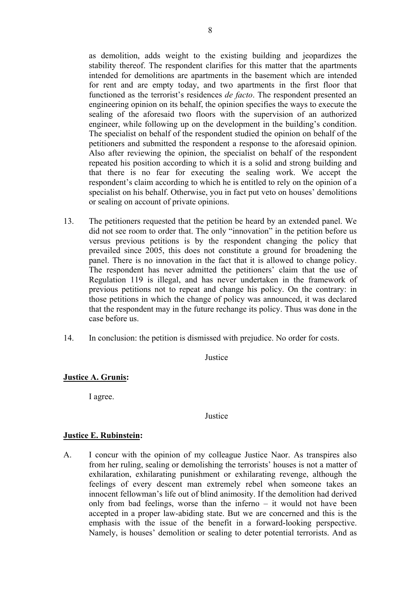as demolition, adds weight to the existing building and jeopardizes the stability thereof. The respondent clarifies for this matter that the apartments intended for demolitions are apartments in the basement which are intended for rent and are empty today, and two apartments in the first floor that functioned as the terrorist's residences *de facto*. The respondent presented an engineering opinion on its behalf, the opinion specifies the ways to execute the sealing of the aforesaid two floors with the supervision of an authorized engineer, while following up on the development in the building's condition. The specialist on behalf of the respondent studied the opinion on behalf of the petitioners and submitted the respondent a response to the aforesaid opinion. Also after reviewing the opinion, the specialist on behalf of the respondent repeated his position according to which it is a solid and strong building and that there is no fear for executing the sealing work. We accept the respondent's claim according to which he is entitled to rely on the opinion of a specialist on his behalf. Otherwise, you in fact put veto on houses' demolitions or sealing on account of private opinions.

- 13. The petitioners requested that the petition be heard by an extended panel. We did not see room to order that. The only "innovation" in the petition before us versus previous petitions is by the respondent changing the policy that prevailed since 2005, this does not constitute a ground for broadening the panel. There is no innovation in the fact that it is allowed to change policy. The respondent has never admitted the petitioners' claim that the use of Regulation 119 is illegal, and has never undertaken in the framework of previous petitions not to repeat and change his policy. On the contrary: in those petitions in which the change of policy was announced, it was declared that the respondent may in the future rechange its policy. Thus was done in the case before us.
- 14. In conclusion: the petition is dismissed with prejudice. No order for costs.

**Justice** 

# **Justice A. Grunis:**

I agree.

**Justice** 

# **Justice E. Rubinstein:**

A. I concur with the opinion of my colleague Justice Naor. As transpires also from her ruling, sealing or demolishing the terrorists' houses is not a matter of exhilaration, exhilarating punishment or exhilarating revenge, although the feelings of every descent man extremely rebel when someone takes an innocent fellowman's life out of blind animosity. If the demolition had derived only from bad feelings, worse than the inferno  $-$  it would not have been accepted in a proper law-abiding state. But we are concerned and this is the emphasis with the issue of the benefit in a forward-looking perspective. Namely, is houses' demolition or sealing to deter potential terrorists. And as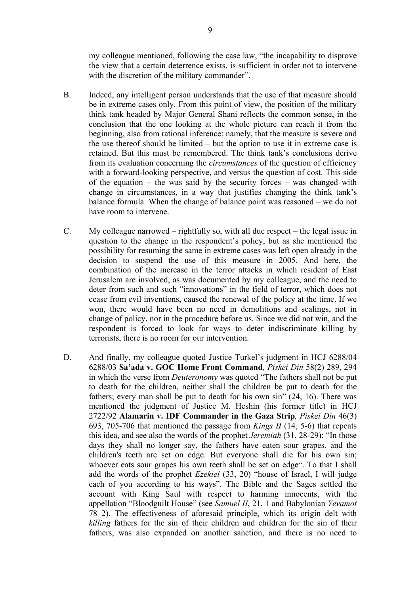my colleague mentioned, following the case law, "the incapability to disprove the view that a certain deterrence exists, is sufficient in order not to intervene with the discretion of the military commander".

- B. Indeed, any intelligent person understands that the use of that measure should be in extreme cases only. From this point of view, the position of the military think tank headed by Major General Shani reflects the common sense, in the conclusion that the one looking at the whole picture can reach it from the beginning, also from rational inference; namely, that the measure is severe and the use thereof should be limited – but the option to use it in extreme case is retained. But this must be remembered. The think tank's conclusions derive from its evaluation concerning the *circumstances* of the question of efficiency with a forward-looking perspective, and versus the question of cost. This side of the equation – the was said by the security forces – was changed with change in circumstances, in a way that justifies changing the think tank's balance formula. When the change of balance point was reasoned – we do not have room to intervene.
- C. My colleague narrowed rightfully so, with all due respect the legal issue in question to the change in the respondent's policy, but as she mentioned the possibility for resuming the same in extreme cases was left open already in the decision to suspend the use of this measure in 2005. And here, the combination of the increase in the terror attacks in which resident of East Jerusalem are involved, as was documented by my colleague, and the need to deter from such and such "innovations" in the field of terror, which does not cease from evil inventions, caused the renewal of the policy at the time. If we won, there would have been no need in demolitions and sealings, not in change of policy, nor in the procedure before us. Since we did not win, and the respondent is forced to look for ways to deter indiscriminate killing by terrorists, there is no room for our intervention.
- D. And finally, my colleague quoted Justice Turkel's judgment in HCJ 6288/04 6288/03 **Sa'ada v. GOC Home Front Command***, Piskei Din* 58(2) 289, 294 in which the verse from *Deuteronomy* was quoted "The fathers shall not be put to death for the children, neither shall the children be put to death for the fathers; every man shall be put to death for his own sin" (24, 16). There was mentioned the judgment of Justice M. Heshin (his former title) in HCJ 2722/92 **Alamarin v. IDF Commander in the Gaza Strip***, Piskei Din* 46(3) 693, 705-706 that mentioned the passage from *Kings II* (14, 5-6) that repeats this idea, and see also the words of the prophet *Jeremiah* (31, 28-29): "In those days they shall no longer say, the fathers have eaten sour grapes, and the children's teeth are set on edge. But everyone shall die for his own sin; whoever eats sour grapes his own teeth shall be set on edge". To that I shall add the words of the prophet *Ezekiel* (33, 20) "house of Israel, I will judge each of you according to his ways". The Bible and the Sages settled the account with King Saul with respect to harming innocents, with the appellation "Bloodguilt House" (see *Samuel II*, 21, 1 and Babylonian *Yevamot* 78 2). The effectiveness of aforesaid principle, which its origin delt with *killing* fathers for the sin of their children and children for the sin of their fathers, was also expanded on another sanction, and there is no need to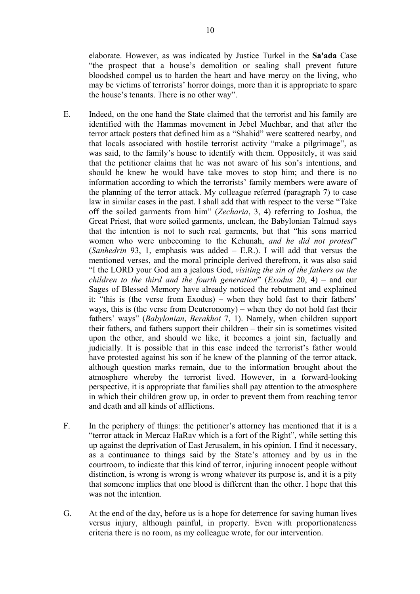elaborate. However, as was indicated by Justice Turkel in the **Sa'ada** Case "the prospect that a house's demolition or sealing shall prevent future bloodshed compel us to harden the heart and have mercy on the living, who may be victims of terrorists' horror doings, more than it is appropriate to spare the house's tenants. There is no other way".

- E. Indeed, on the one hand the State claimed that the terrorist and his family are identified with the Hammas movement in Jebel Muchbar, and that after the terror attack posters that defined him as a "Shahid" were scattered nearby, and that locals associated with hostile terrorist activity "make a pilgrimage", as was said, to the family's house to identify with them. Oppositely, it was said that the petitioner claims that he was not aware of his son's intentions, and should he knew he would have take moves to stop him; and there is no information according to which the terrorists' family members were aware of the planning of the terror attack. My colleague referred (paragraph 7) to case law in similar cases in the past. I shall add that with respect to the verse "Take off the soiled garments from him" (*Zecharia*, 3, 4) referring to Joshua, the Great Priest, that wore soiled garments, unclean, the Babylonian Talmud says that the intention is not to such real garments, but that "his sons married women who were unbecoming to the Kehunah, *and he did not protest*" (*Sanhedrin* 93, 1, emphasis was added – E.R.). I will add that versus the mentioned verses, and the moral principle derived therefrom, it was also said "I the LORD your God am a jealous God, *visiting the sin of the fathers on the children to the third and the fourth generation*" (*Exodus* 20, 4) – and our Sages of Blessed Memory have already noticed the rebutment and explained it: "this is (the verse from Exodus) – when they hold fast to their fathers' ways, this is (the verse from Deuteronomy) – when they do not hold fast their fathers' ways" (*Babylonian*, *Berakhot* 7, 1). Namely, when children support their fathers, and fathers support their children – their sin is sometimes visited upon the other, and should we like, it becomes a joint sin, factually and judicially. It is possible that in this case indeed the terrorist's father would have protested against his son if he knew of the planning of the terror attack, although question marks remain, due to the information brought about the atmosphere whereby the terrorist lived. However, in a forward-looking perspective, it is appropriate that families shall pay attention to the atmosphere in which their children grow up, in order to prevent them from reaching terror and death and all kinds of afflictions.
- F. In the periphery of things: the petitioner's attorney has mentioned that it is a "terror attack in Mercaz HaRav which is a fort of the Right", while setting this up against the deprivation of East Jerusalem, in his opinion. I find it necessary, as a continuance to things said by the State's attorney and by us in the courtroom, to indicate that this kind of terror, injuring innocent people without distinction, is wrong is wrong is wrong whatever its purpose is, and it is a pity that someone implies that one blood is different than the other. I hope that this was not the intention.
- G. At the end of the day, before us is a hope for deterrence for saving human lives versus injury, although painful, in property. Even with proportionateness criteria there is no room, as my colleague wrote, for our intervention.